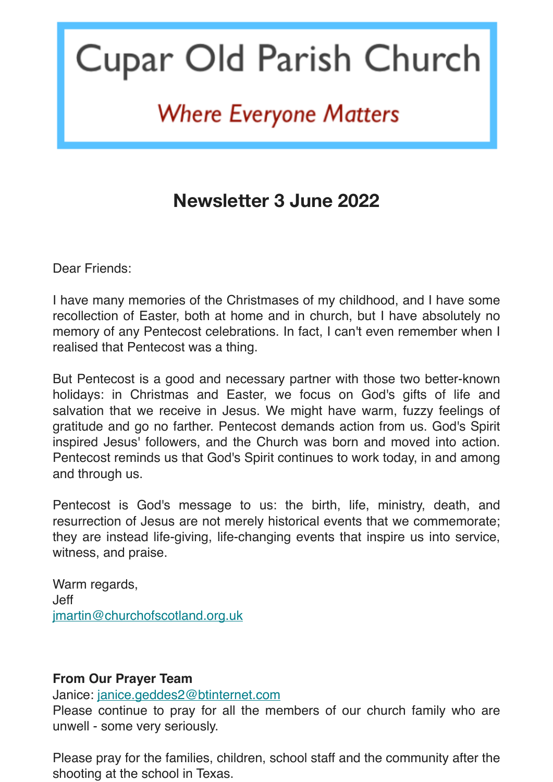# Cupar Old Parish Church

## **Where Everyone Matters**

### **Newsletter 3 June 2022**

Dear Friends:

I have many memories of the Christmases of my childhood, and I have some recollection of Easter, both at home and in church, but I have absolutely no memory of any Pentecost celebrations. In fact, I can't even remember when I realised that Pentecost was a thing.

But Pentecost is a good and necessary partner with those two better-known holidays: in Christmas and Easter, we focus on God's gifts of life and salvation that we receive in Jesus. We might have warm, fuzzy feelings of gratitude and go no farther. Pentecost demands action from us. God's Spirit inspired Jesus' followers, and the Church was born and moved into action. Pentecost reminds us that God's Spirit continues to work today, in and among and through us.

Pentecost is God's message to us: the birth, life, ministry, death, and resurrection of Jesus are not merely historical events that we commemorate; they are instead life-giving, life-changing events that inspire us into service, witness, and praise.

Warm regards. Jeff [jmartin@churchofscotland.org.uk](mailto:jmartin@churchofscotland.org.uk)

#### **From Our Prayer Team**

Janice: [janice.geddes2@btinternet.com](mailto:janice.geddes2@btinternet.com)

Please continue to pray for all the members of our church family who are unwell - some very seriously.

Please pray for the families, children, school staff and the community after the shooting at the school in Texas.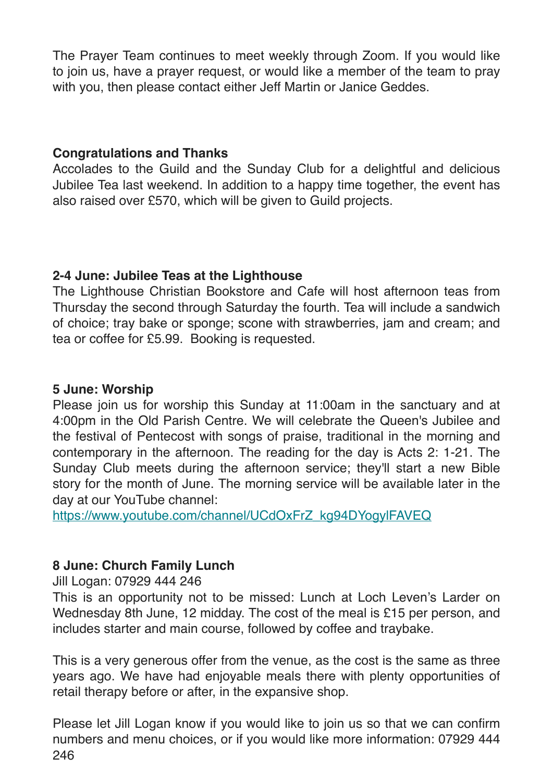The Prayer Team continues to meet weekly through Zoom. If you would like to join us, have a prayer request, or would like a member of the team to pray with you, then please contact either Jeff Martin or Janice Geddes.

#### **Congratulations and Thanks**

Accolades to the Guild and the Sunday Club for a delightful and delicious Jubilee Tea last weekend. In addition to a happy time together, the event has also raised over £570, which will be given to Guild projects.

#### **2-4 June: Jubilee Teas at the Lighthouse**

The Lighthouse Christian Bookstore and Cafe will host afternoon teas from Thursday the second through Saturday the fourth. Tea will include a sandwich of choice; tray bake or sponge; scone with strawberries, jam and cream; and tea or coffee for £5.99. Booking is requested.

#### **5 June: Worship**

Please join us for worship this Sunday at 11:00am in the sanctuary and at 4:00pm in the Old Parish Centre. We will celebrate the Queen's Jubilee and the festival of Pentecost with songs of praise, traditional in the morning and contemporary in the afternoon. The reading for the day is Acts 2: 1-21. The Sunday Club meets during the afternoon service; they'll start a new Bible story for the month of June. The morning service will be available later in the day at our YouTube channel:

[https://www.youtube.com/channel/UCdOxFrZ\\_kg94DYogylFAVEQ](https://cuparold.us17.list-manage.com/track/click?u=cb0d11bd686f9936f33547aab&id=45d11c7e2c&e=9c4275e320)

#### **8 June: Church Family Lunch**

Jill Logan: 07929 444 246

This is an opportunity not to be missed: Lunch at Loch Leven's Larder on Wednesday 8th June, 12 midday. The cost of the meal is £15 per person, and includes starter and main course, followed by coffee and traybake.

This is a very generous offer from the venue, as the cost is the same as three years ago. We have had enjoyable meals there with plenty opportunities of retail therapy before or after, in the expansive shop.

Please let Jill Logan know if you would like to join us so that we can confirm numbers and menu choices, or if you would like more information: 07929 444 246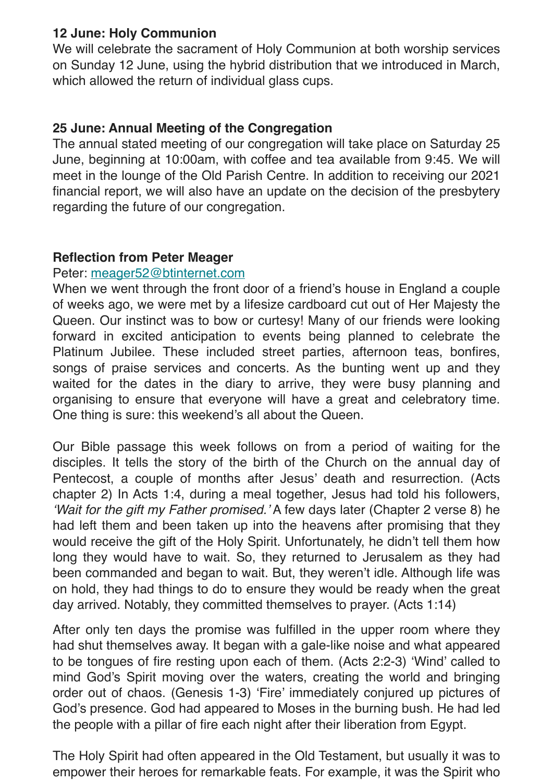#### **12 June: Holy Communion**

We will celebrate the sacrament of Holy Communion at both worship services on Sunday 12 June, using the hybrid distribution that we introduced in March, which allowed the return of individual glass cups.

#### **25 June: Annual Meeting of the Congregation**

The annual stated meeting of our congregation will take place on Saturday 25 June, beginning at 10:00am, with coffee and tea available from 9:45. We will meet in the lounge of the Old Parish Centre. In addition to receiving our 2021 financial report, we will also have an update on the decision of the presbytery regarding the future of our congregation.

#### **Reflection from Peter Meager**

#### Peter: [meager52@btinternet.com](mailto:meager52@btinternet.com)

When we went through the front door of a friend's house in England a couple of weeks ago, we were met by a lifesize cardboard cut out of Her Majesty the Queen. Our instinct was to bow or curtesy! Many of our friends were looking forward in excited anticipation to events being planned to celebrate the Platinum Jubilee. These included street parties, afternoon teas, bonfires, songs of praise services and concerts. As the bunting went up and they waited for the dates in the diary to arrive, they were busy planning and organising to ensure that everyone will have a great and celebratory time. One thing is sure: this weekend's all about the Queen.

Our Bible passage this week follows on from a period of waiting for the disciples. It tells the story of the birth of the Church on the annual day of Pentecost, a couple of months after Jesus' death and resurrection. (Acts chapter 2) In Acts 1:4, during a meal together, Jesus had told his followers, *'Wait for the gift my Father promised.'* A few days later (Chapter 2 verse 8) he had left them and been taken up into the heavens after promising that they would receive the gift of the Holy Spirit. Unfortunately, he didn't tell them how long they would have to wait. So, they returned to Jerusalem as they had been commanded and began to wait. But, they weren't idle. Although life was on hold, they had things to do to ensure they would be ready when the great day arrived. Notably, they committed themselves to prayer. (Acts 1:14)

After only ten days the promise was fulfilled in the upper room where they had shut themselves away. It began with a gale-like noise and what appeared to be tongues of fire resting upon each of them. (Acts 2:2-3) 'Wind' called to mind God's Spirit moving over the waters, creating the world and bringing order out of chaos. (Genesis 1-3) 'Fire' immediately conjured up pictures of God's presence. God had appeared to Moses in the burning bush. He had led the people with a pillar of fire each night after their liberation from Egypt.

The Holy Spirit had often appeared in the Old Testament, but usually it was to empower their heroes for remarkable feats. For example, it was the Spirit who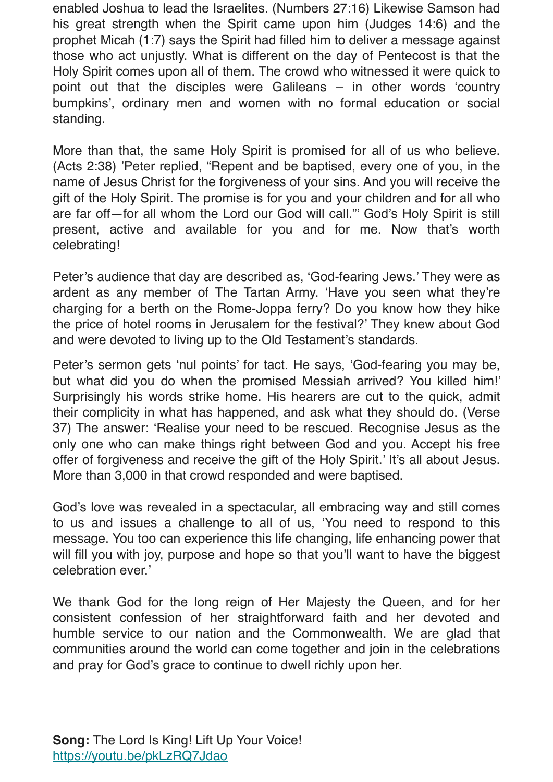enabled Joshua to lead the Israelites. (Numbers 27:16) Likewise Samson had his great strength when the Spirit came upon him (Judges 14:6) and the prophet Micah (1:7) says the Spirit had filled him to deliver a message against those who act unjustly. What is different on the day of Pentecost is that the Holy Spirit comes upon all of them. The crowd who witnessed it were quick to point out that the disciples were Galileans – in other words 'country bumpkins', ordinary men and women with no formal education or social standing.

More than that, the same Holy Spirit is promised for all of us who believe. (Acts 2:38) 'Peter replied, "Repent and be baptised, every one of you, in the name of Jesus Christ for the forgiveness of your sins. And you will receive the gift of the Holy Spirit. The promise is for you and your children and for all who are far off—for all whom the Lord our God will call."' God's Holy Spirit is still present, active and available for you and for me. Now that's worth celebrating!

Peter's audience that day are described as, 'God-fearing Jews.' They were as ardent as any member of The Tartan Army. 'Have you seen what they're charging for a berth on the Rome-Joppa ferry? Do you know how they hike the price of hotel rooms in Jerusalem for the festival?' They knew about God and were devoted to living up to the Old Testament's standards.

Peter's sermon gets 'nul points' for tact. He says, 'God-fearing you may be, but what did you do when the promised Messiah arrived? You killed him!' Surprisingly his words strike home. His hearers are cut to the quick, admit their complicity in what has happened, and ask what they should do. (Verse 37) The answer: 'Realise your need to be rescued. Recognise Jesus as the only one who can make things right between God and you. Accept his free offer of forgiveness and receive the gift of the Holy Spirit.' It's all about Jesus. More than 3,000 in that crowd responded and were baptised.

God's love was revealed in a spectacular, all embracing way and still comes to us and issues a challenge to all of us, 'You need to respond to this message. You too can experience this life changing, life enhancing power that will fill you with joy, purpose and hope so that you'll want to have the biggest celebration ever.'

We thank God for the long reign of Her Majesty the Queen, and for her consistent confession of her straightforward faith and her devoted and humble service to our nation and the Commonwealth. We are glad that communities around the world can come together and join in the celebrations and pray for God's grace to continue to dwell richly upon her.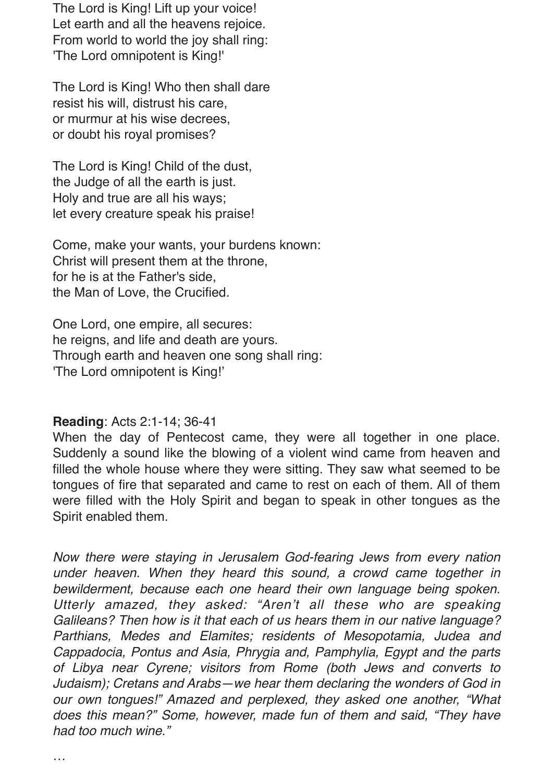The Lord is King! Lift up your voice! Let earth and all the heavens rejoice. From world to world the joy shall ring: 'The Lord omnipotent is King!'

The Lord is King! Who then shall dare resist his will, distrust his care, or murmur at his wise decrees, or doubt his royal promises?

The Lord is King! Child of the dust, the Judge of all the earth is just. Holy and true are all his ways; let every creature speak his praise!

Come, make your wants, your burdens known: Christ will present them at the throne, for he is at the Father's side, the Man of Love, the Crucified.

One Lord, one empire, all secures: he reigns, and life and death are yours. Through earth and heaven one song shall ring: 'The Lord omnipotent is King!'

#### **Reading**: Acts 2:1-14; 36-41

When the day of Pentecost came, they were all together in one place. Suddenly a sound like the blowing of a violent wind came from heaven and filled the whole house where they were sitting. They saw what seemed to be tongues of fire that separated and came to rest on each of them. All of them were filled with the Holy Spirit and began to speak in other tongues as the Spirit enabled them.

*Now there were staying in Jerusalem God-fearing Jews from every nation under heaven. When they heard this sound, a crowd came together in bewilderment, because each one heard their own language being spoken. Utterly amazed, they asked: "Aren't all these who are speaking Galileans? Then how is it that each of us hears them in our native language? Parthians, Medes and Elamites; residents of Mesopotamia, Judea and Cappadocia, Pontus and Asia, Phrygia and, Pamphylia, Egypt and the parts of Libya near Cyrene; visitors from Rome (both Jews and converts to Judaism); Cretans and Arabs—we hear them declaring the wonders of God in our own tongues!" Amazed and perplexed, they asked one another, "What does this mean?" Some, however, made fun of them and said, "They have had too much wine."*